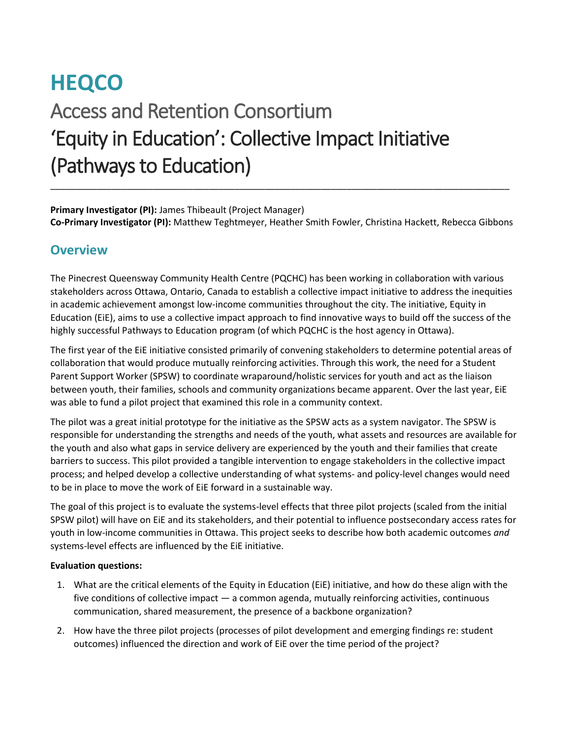# **HEQCO**  Access and Retention Consortium 'Equity in Education': Collective Impact Initiative (Pathways to Education) \_\_\_\_\_\_\_\_\_\_\_\_\_\_\_\_\_\_\_\_\_\_\_\_\_\_\_\_\_\_\_\_\_\_\_\_\_\_\_\_\_\_\_\_\_\_\_\_\_\_\_\_\_\_\_\_\_\_\_\_\_\_\_\_\_\_\_\_\_\_\_\_\_\_\_\_\_\_\_\_\_\_\_\_\_\_\_\_\_\_

**Primary Investigator (PI):** James Thibeault (Project Manager) **Co-Primary Investigator (PI):** Matthew Teghtmeyer, Heather Smith Fowler, Christina Hackett, Rebecca Gibbons

### **Overview**

The Pinecrest Queensway Community Health Centre (PQCHC) has been working in collaboration with various stakeholders across Ottawa, Ontario, Canada to establish a collective impact initiative to address the inequities in academic achievement amongst low-income communities throughout the city. The initiative, Equity in Education (EiE), aims to use a collective impact approach to find innovative ways to build off the success of the highly successful Pathways to Education program (of which PQCHC is the host agency in Ottawa).

The first year of the EiE initiative consisted primarily of convening stakeholders to determine potential areas of collaboration that would produce mutually reinforcing activities. Through this work, the need for a Student Parent Support Worker (SPSW) to coordinate wraparound/holistic services for youth and act as the liaison between youth, their families, schools and community organizations became apparent. Over the last year, EiE was able to fund a pilot project that examined this role in a community context.

The pilot was a great initial prototype for the initiative as the SPSW acts as a system navigator. The SPSW is responsible for understanding the strengths and needs of the youth, what assets and resources are available for the youth and also what gaps in service delivery are experienced by the youth and their families that create barriers to success. This pilot provided a tangible intervention to engage stakeholders in the collective impact process; and helped develop a collective understanding of what systems- and policy-level changes would need to be in place to move the work of EiE forward in a sustainable way.

The goal of this project is to evaluate the systems-level effects that three pilot projects (scaled from the initial SPSW pilot) will have on EiE and its stakeholders, and their potential to influence postsecondary access rates for youth in low-income communities in Ottawa. This project seeks to describe how both academic outcomes *and* systems-level effects are influenced by the EiE initiative.

#### **Evaluation questions:**

- 1. What are the critical elements of the Equity in Education (EiE) initiative, and how do these align with the five conditions of collective impact — a common agenda, mutually reinforcing activities, continuous communication, shared measurement, the presence of a backbone organization?
- 2. How have the three pilot projects (processes of pilot development and emerging findings re: student outcomes) influenced the direction and work of EiE over the time period of the project?